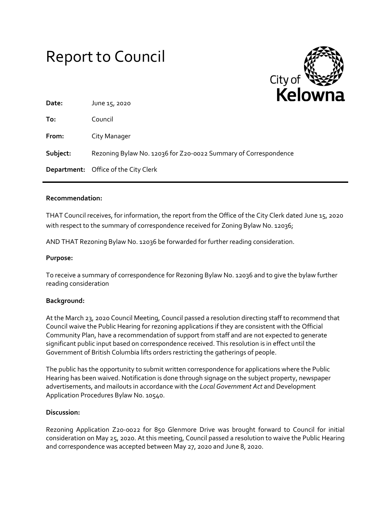# Report to Council



| Date:    | - 1<br>June 15, 2020                                            |
|----------|-----------------------------------------------------------------|
| To:      | Council                                                         |
| From:    | City Manager                                                    |
| Subject: | Rezoning Bylaw No. 12036 for Z20-0022 Summary of Correspondence |
|          | <b>Department:</b> Office of the City Clerk                     |

## **Recommendation:**

THAT Council receives, for information, the report from the Office of the City Clerk dated June 15, 2020 with respect to the summary of correspondence received for Zoning Bylaw No. 12036;

AND THAT Rezoning Bylaw No. 12036 be forwarded for further reading consideration.

## **Purpose:**

To receive a summary of correspondence for Rezoning Bylaw No. 12036 and to give the bylaw further reading consideration

## **Background:**

At the March 23, 2020 Council Meeting, Council passed a resolution directing staff to recommend that Council waive the Public Hearing for rezoning applications if they are consistent with the Official Community Plan, have a recommendation of support from staff and are not expected to generate significant public input based on correspondence received. This resolution is in effect until the Government of British Columbia lifts orders restricting the gatherings of people.

The public has the opportunity to submit written correspondence for applications where the Public Hearing has been waived. Notification is done through signage on the subject property, newspaper advertisements, and mailouts in accordance with the *Local Government Act* and Development Application Procedures Bylaw No. 10540.

## **Discussion:**

Rezoning Application Z20-0022 for 850 Glenmore Drive was brought forward to Council for initial consideration on May 25, 2020. At this meeting, Council passed a resolution to waive the Public Hearing and correspondence was accepted between May 27, 2020 and June 8, 2020.